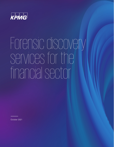

# Forensic discovery services for the financial sector

October 2021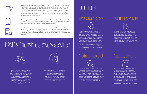

The financial services sector is powered by information. Successful companies are often those which harness streams of data to successfully manage their clients' needs, while interpreting trends that allow them to plan for the future. Financial technology platforms allow for the collection, processing and analysis of millions of transactions, monetary flows and market intelligence. This allows banks, exchanges, trading houses and many others to service their clients' needs in a compliant and regulated manner.



The strength of these platforms is based on the ability to effectively analyze and manipulate structured data – information that sits in scalable databases and allows intelligent systems to power the world's financial backbone.



It is impossible to know the entirety of a company's situation without a complete analysis of its data. While financial information will show a significant part of the picture, it may not identify important areas such as the underlying reasons behind major decisions, historical information or fraud and misconduct. KPMG's forensic discovery experts can work with the relevant parties to analyze communications and other key data sources to clarify and improve financial data analysis and provide factual evidence underpinning any issues.

What happens, however, when the data is not structured? It may sit in different digital formats, foreign languages or even as a hard copy. How can an organization analyze and gain insightful intelligence from unstructured data such as emails, documents and digital data that is not easy to collate, or review in current financial systems?

### Solutions

A wrongdoer's email record will often reveal evidence of misconduct or fraudulent activity. How do you quickly delve into potentially hundreds of thousands of emails to find such evidence? KPMG's forensic discovery experts have the tools to enable investigators to rapidly search, analyze and explore email content and communication networks without having to review thousands of emails.

Banks and other concerned parties can face many challenges when clients are restructured or go into liquidation. In conjunction with key stakeholders, KPMG's forensic discovery team can preserve data relating to client activities. If the need arises, it can be investigated and reviewed by legal teams or regulatory bodies across the world via a secure platform.

Operating within one of the most highlyregulated industries, financial service organizations are frequently faced with requests for information from regulators. KPMG's forensic discovery team has the ability to retrieve and produce information not only from unstructured data sources such as emails, textual documents, instant messaging (e.g. Bloomberg chat), but also collates this with structured sources, such as trade data or rates information to give a comprehensive view of events.

#### Mergers & acquisitions



#### Fraud and misconduct



#### Restructuring activities



#### Regulatory demands



KPMG's certified forensic discovery team provides a methodology and platform that allows review and analysis of information that does not fit into the standard mold of financial data. This approach incorporates internationally recognized principles for forensic collection and preservation of data, meeting both legal and regulatory standards.



Utilizing the latest in unstructured data review technology and incorporating artificial intelligence and machine learning capabilities, KPMG can provide insights into key untouched data sources. This, in turn, enables a seamless and secure review from anywhere in the world.

### KPMG's forensic discovery services